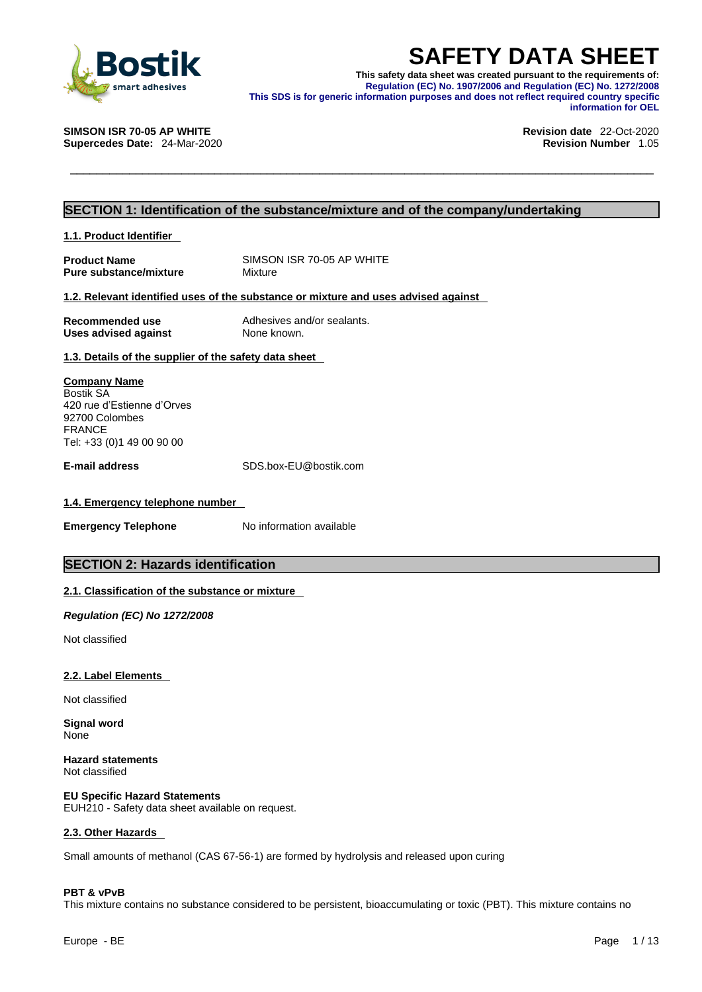

**SAFETY DATA SHEET**<br>
This safety data sheet was created pursuant to the requirements of:<br>
Regulation (EC) No. 1907/2006 and Regulation (EC) No. 1272/2008<br>
This SDS is for generic information purposes and does not reflect r **This safety data sheet was created pursuant to the requirements of: Regulation (EC) No. 1907/2006 and Regulation (EC) No. 1272/2008 This SDS is for generic information purposes and does not reflect required country specific information for OEL** 

**SIMSON ISR 70-05 AP WHITE Revision date** 22-Oct-2020

**Supercedes Date:** 24-Mar-2020 **Revision Number** 1.05

### **SECTION 1: Identification of the substance/mixture and of the company/undertaking**

#### **1.1. Product Identifier**

**Product Name** SIMSON ISR 70-05 AP WHITE<br> **Pure substance/mixture** Mixture Mixture **Pure substance/mixture** 

#### **1.2. Relevant identified uses of the substance or mixture and uses advised against**

| Recommended use             | Adhesives and/or sealants. |
|-----------------------------|----------------------------|
| <b>Uses advised against</b> | None known.                |

## **1.3. Details of the supplier of the safety data sheet**

**Company Name** Bostik SA 420 rue d'Estienne d'Orves 92700 Colombes FRANCE Tel: +33 (0)1 49 00 90 00

**E-mail address** SDS.box-EU@bostik.com

#### **1.4. Emergency telephone number**

**Emergency Telephone** No information available

## **SECTION 2: Hazards identification**

#### **2.1. Classification of the substance or mixture**

*Regulation (EC) No 1272/2008* 

Not classified

#### **2.2. Label Elements**

Not classified

**Signal word** None

**Hazard statements** Not classified

**EU Specific Hazard Statements** EUH210 - Safety data sheet available on request.

#### **2.3. Other Hazards**

Small amounts of methanol (CAS 67-56-1) are formed by hydrolysis and released upon curing

#### **PBT & vPvB**

This mixture contains no substance considered to be persistent, bioaccumulating or toxic (PBT). This mixture contains no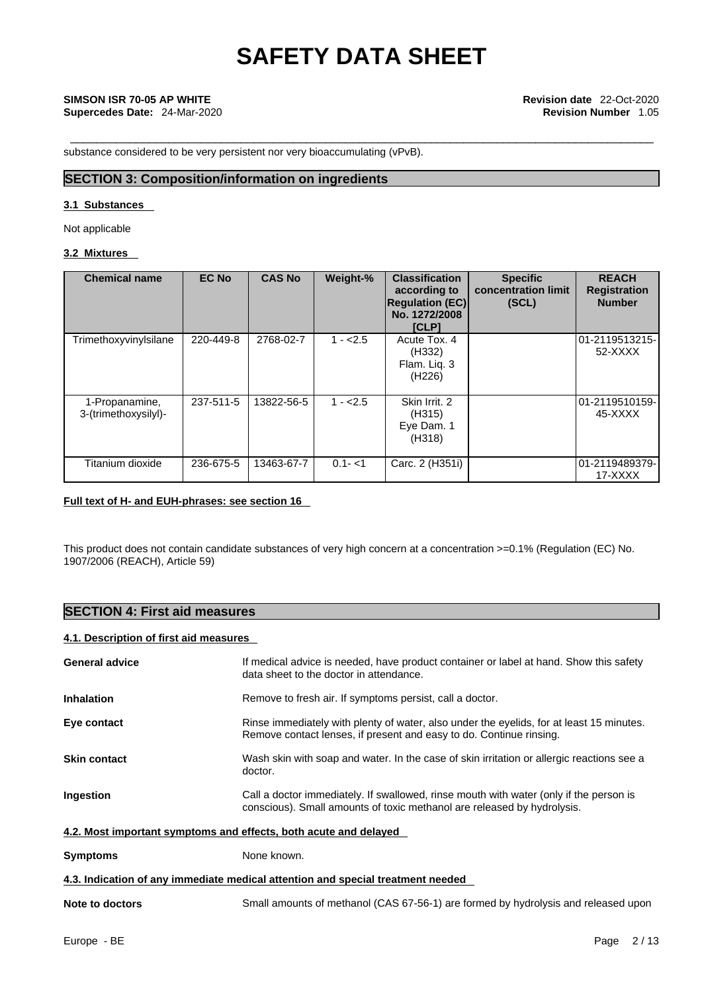**Supercedes Date:** 24-Mar-2020 **Revision Number** 1.05

substance considered to be very persistent nor very bioaccumulating (vPvB).

## **SECTION 3: Composition/information on ingredients**

#### **3.1 Substances**

Not applicable

### **3.2 Mixtures**

| <b>Chemical name</b>                   | <b>EC No</b> | <b>CAS No</b> | Weight-%  | <b>Classification</b><br>according to<br><b>Regulation (EC)</b><br>No. 1272/2008<br><b>[CLP]</b> | <b>Specific</b><br>concentration limit<br>(SCL) | <b>REACH</b><br><b>Registration</b><br><b>Number</b> |
|----------------------------------------|--------------|---------------|-----------|--------------------------------------------------------------------------------------------------|-------------------------------------------------|------------------------------------------------------|
| Trimethoxyvinylsilane                  | 220-449-8    | 2768-02-7     | $1 - 2.5$ | Acute Tox, 4<br>(H332)<br>Flam. Liq. 3<br>(H226)                                                 |                                                 | 01-2119513215-<br>52-XXXX                            |
| 1-Propanamine,<br>3-(trimethoxysilyl)- | 237-511-5    | 13822-56-5    | $1 - 2.5$ | Skin Irrit, 2<br>(H315)<br>Eye Dam. 1<br>(H318)                                                  |                                                 | l01-2119510159-<br>45-XXXX                           |
| Titanium dioxide                       | 236-675-5    | 13463-67-7    | $0.1 - 1$ | Carc. 2 (H351i)                                                                                  |                                                 | 01-2119489379-<br>17-XXXX                            |

### **Full text of H- and EUH-phrases: see section 16**

This product does not contain candidate substances of very high concern at a concentration >=0.1% (Regulation (EC) No. 1907/2006 (REACH), Article 59)

## **SECTION 4: First aid measures**

### **4.1. Description of first aid measures**

| <b>General advice</b>                                                           | If medical advice is needed, have product container or label at hand. Show this safety<br>data sheet to the doctor in attendance.                                 |  |  |  |
|---------------------------------------------------------------------------------|-------------------------------------------------------------------------------------------------------------------------------------------------------------------|--|--|--|
| <b>Inhalation</b>                                                               | Remove to fresh air. If symptoms persist, call a doctor.                                                                                                          |  |  |  |
| Eye contact                                                                     | Rinse immediately with plenty of water, also under the eyelids, for at least 15 minutes.<br>Remove contact lenses, if present and easy to do. Continue rinsing.   |  |  |  |
| <b>Skin contact</b>                                                             | Wash skin with soap and water. In the case of skin irritation or allergic reactions see a<br>doctor.                                                              |  |  |  |
| Ingestion                                                                       | Call a doctor immediately. If swallowed, rinse mouth with water (only if the person is<br>conscious). Small amounts of toxic methanol are released by hydrolysis. |  |  |  |
| 4.2. Most important symptoms and effects, both acute and delayed                |                                                                                                                                                                   |  |  |  |
| <b>Symptoms</b>                                                                 | None known.                                                                                                                                                       |  |  |  |
| 4.3. Indication of any immediate medical attention and special treatment needed |                                                                                                                                                                   |  |  |  |
| Note to doctors                                                                 | Small amounts of methanol (CAS 67-56-1) are formed by hydrolysis and released upon                                                                                |  |  |  |
|                                                                                 |                                                                                                                                                                   |  |  |  |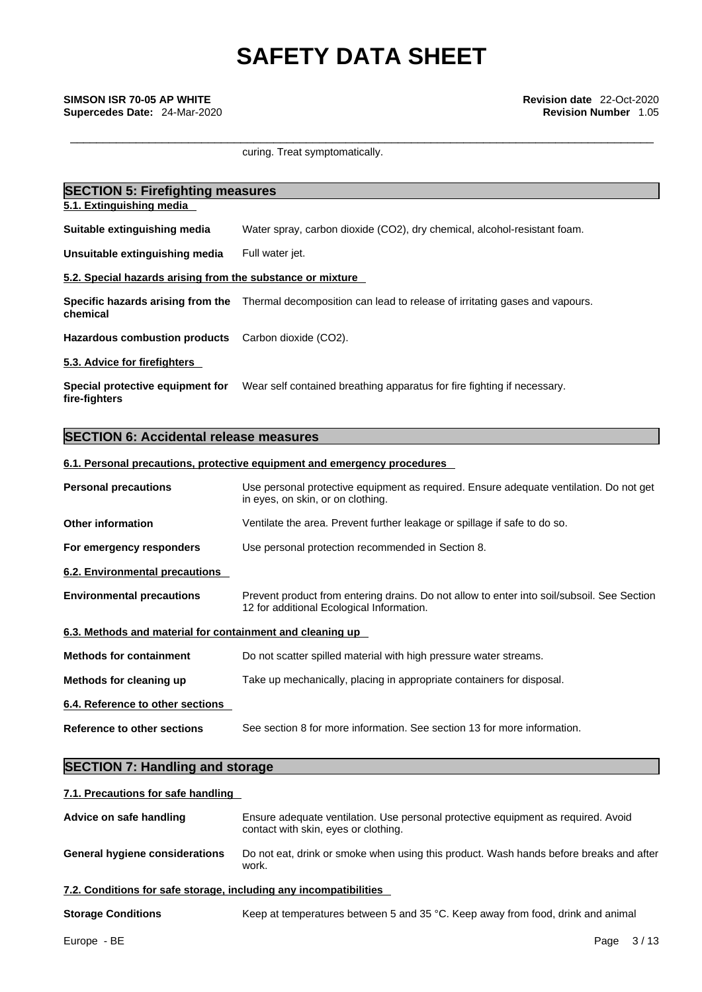curing. Treat symptomatically.

| <b>SECTION 5: Firefighting measures</b>                    |                                                                            |  |  |  |
|------------------------------------------------------------|----------------------------------------------------------------------------|--|--|--|
| 5.1. Extinguishing media                                   |                                                                            |  |  |  |
| Suitable extinguishing media                               | Water spray, carbon dioxide (CO2), dry chemical, alcohol-resistant foam.   |  |  |  |
| Unsuitable extinguishing media                             | Full water jet.                                                            |  |  |  |
| 5.2. Special hazards arising from the substance or mixture |                                                                            |  |  |  |
| Specific hazards arising from the<br>chemical              | Thermal decomposition can lead to release of irritating gases and vapours. |  |  |  |
| <b>Hazardous combustion products</b>                       | Carbon dioxide (CO2).                                                      |  |  |  |
| 5.3. Advice for firefighters                               |                                                                            |  |  |  |
| Special protective equipment for<br>fire-fighters          | Wear self contained breathing apparatus for fire fighting if necessary.    |  |  |  |

## **SECTION 6: Accidental release measures**

#### **6.1. Personal precautions, protective equipment and emergency procedures**

| <b>Personal precautions</b>                               | Use personal protective equipment as required. Ensure adequate ventilation. Do not get<br>in eyes, on skin, or on clothing.             |  |  |
|-----------------------------------------------------------|-----------------------------------------------------------------------------------------------------------------------------------------|--|--|
| <b>Other information</b>                                  | Ventilate the area. Prevent further leakage or spillage if safe to do so.                                                               |  |  |
| For emergency responders                                  | Use personal protection recommended in Section 8.                                                                                       |  |  |
| 6.2. Environmental precautions                            |                                                                                                                                         |  |  |
| <b>Environmental precautions</b>                          | Prevent product from entering drains. Do not allow to enter into soil/subsoil. See Section<br>12 for additional Ecological Information. |  |  |
| 6.3. Methods and material for containment and cleaning up |                                                                                                                                         |  |  |
| <b>Methods for containment</b>                            | Do not scatter spilled material with high pressure water streams.                                                                       |  |  |
| Methods for cleaning up                                   | Take up mechanically, placing in appropriate containers for disposal.                                                                   |  |  |
| 6.4. Reference to other sections                          |                                                                                                                                         |  |  |
| <b>Reference to other sections</b>                        | See section 8 for more information. See section 13 for more information.                                                                |  |  |
|                                                           |                                                                                                                                         |  |  |

# **SECTION 7: Handling and storage**

### **7.1. Precautions for safe handling**

| Advice on safe handling                                           | Ensure adequate ventilation. Use personal protective equipment as required. Avoid<br>contact with skin, eyes or clothing. |  |  |  |
|-------------------------------------------------------------------|---------------------------------------------------------------------------------------------------------------------------|--|--|--|
| <b>General hygiene considerations</b>                             | Do not eat, drink or smoke when using this product. Wash hands before breaks and after<br>work.                           |  |  |  |
| 7.2. Conditions for safe storage, including any incompatibilities |                                                                                                                           |  |  |  |
|                                                                   |                                                                                                                           |  |  |  |

**Storage Conditions** Keep at temperatures between 5 and 35 °C. Keep away from food, drink and animal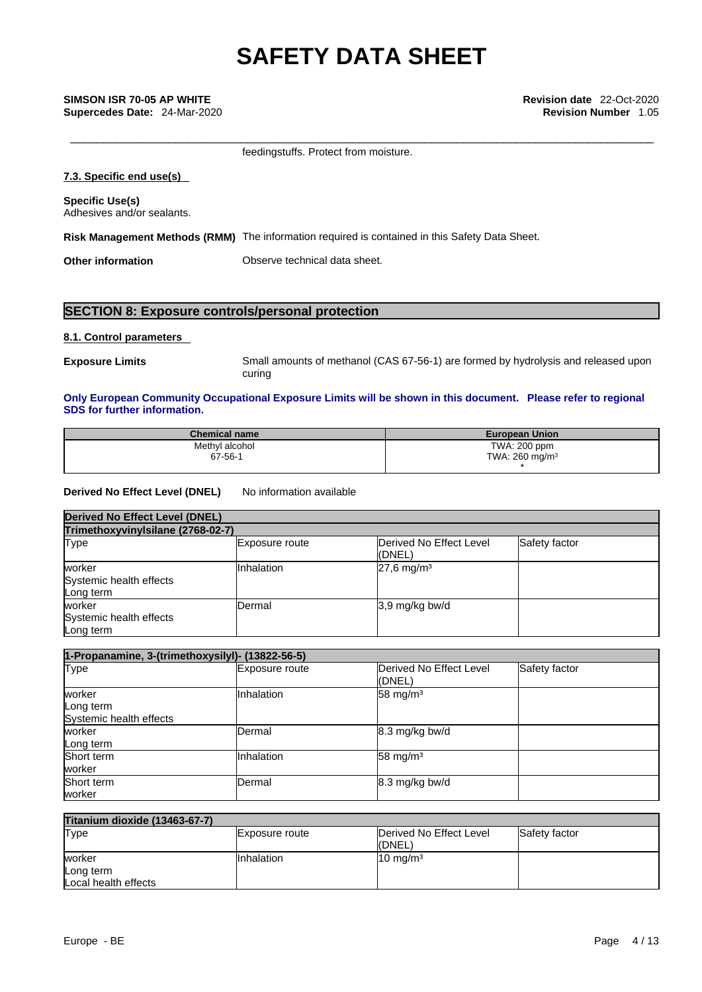| <b>Revision Number 1.05</b>                                                                    |
|------------------------------------------------------------------------------------------------|
| feedingstuffs. Protect from moisture.                                                          |
|                                                                                                |
|                                                                                                |
| Risk Management Methods (RMM) The information required is contained in this Safety Data Sheet. |
| Observe technical data sheet.                                                                  |
|                                                                                                |

# **SECTION 8: Exposure controls/personal protection**

## **8.1. Control parameters**

**Exposure Limits** Small amounts of methanol (CAS 67-56-1) are formed by hydrolysis and released upon curing

#### **Only European Community Occupational Exposure Limits will be shown in this document. Please refer to regional SDS for further information.**

| <b>Chemical name</b> | <b>European Union</b>     |
|----------------------|---------------------------|
| Methyl alcohol       | TWA: 200 ppm              |
| 67-56-1              | TWA: $260 \text{ mg/m}^3$ |

#### **Derived No Effect Level (DNEL)** No information available

| <b>Derived No Effect Level (DNEL)</b>          |                                   |                                   |               |  |  |
|------------------------------------------------|-----------------------------------|-----------------------------------|---------------|--|--|
|                                                | Trimethoxyvinylsilane (2768-02-7) |                                   |               |  |  |
| Type                                           | <b>Exposure route</b>             | Derived No Effect Level<br>(DNEL) | Safety factor |  |  |
| worker<br>Systemic health effects<br>Long term | Inhalation                        | $27,6$ mg/m <sup>3</sup>          |               |  |  |
| worker<br>Systemic health effects<br>Long term | <b>IDermal</b>                    | $3,9$ mg/kg bw/d                  |               |  |  |

| 1-Propanamine, 3-(trimethoxysilyl)- (13822-56-5) |                |                                   |               |  |
|--------------------------------------------------|----------------|-----------------------------------|---------------|--|
| <b>Type</b>                                      | Exposure route | Derived No Effect Level<br>(DNEL) | Safety factor |  |
| worker<br>Long term<br>Systemic health effects   | Inhalation     | $58 \text{ mg/m}^3$               |               |  |
| worker<br>Long term                              | Dermal         | 8.3 mg/kg bw/d                    |               |  |
| Short term<br>worker                             | Inhalation     | $58 \text{ mg/m}^3$               |               |  |
| Short term<br>worker                             | Dermal         | 8.3 mg/kg bw/d                    |               |  |

| <b>Titanium dioxide (13463-67-7)</b> |                |                                   |               |  |  |
|--------------------------------------|----------------|-----------------------------------|---------------|--|--|
| Type                                 | Exposure route | Derived No Effect Level<br>(DNEL) | Safety factor |  |  |
| worker                               | Inhalation     | $10 \text{ mg/m}^3$               |               |  |  |
| Long term                            |                |                                   |               |  |  |
| Local health effects                 |                |                                   |               |  |  |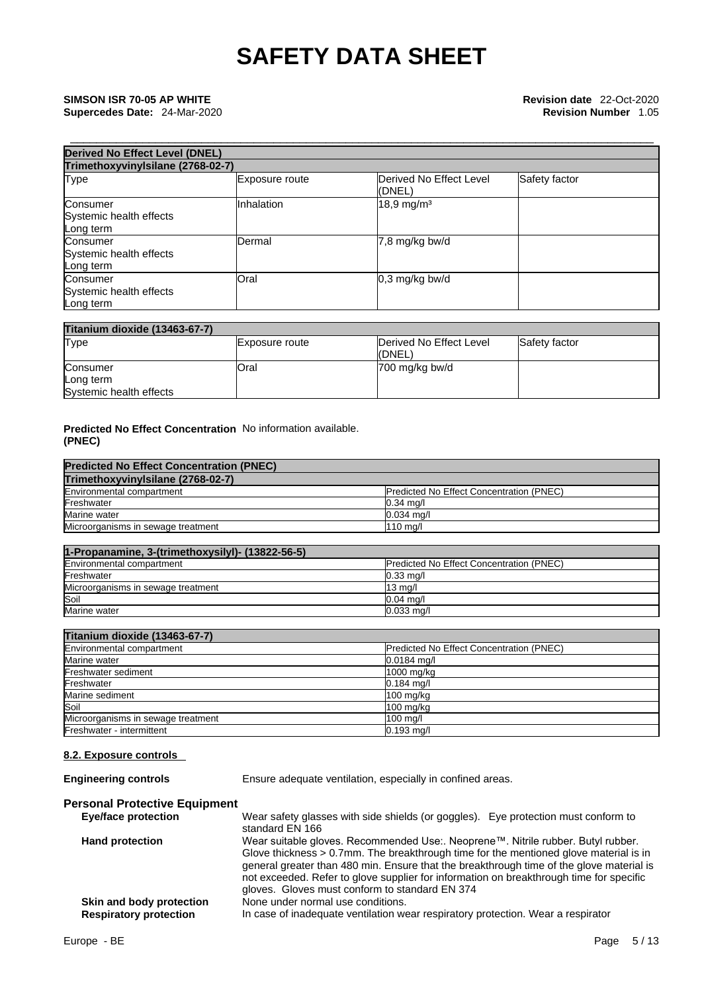| <b>Derived No Effect Level (DNEL)</b><br>Trimethoxyvinylsilane (2768-02-7) |                   |                          |  |  |
|----------------------------------------------------------------------------|-------------------|--------------------------|--|--|
|                                                                            |                   |                          |  |  |
| Consumer<br>Systemic health effects<br>Long term                           | <b>Inhalation</b> | $18,9$ mg/m <sup>3</sup> |  |  |
| Consumer<br>Systemic health effects<br>Long term                           | Dermal            | $7,8$ mg/kg bw/d         |  |  |
| Consumer<br>Systemic health effects<br>Long term                           | Oral              | $0,3$ mg/kg bw/d         |  |  |

| <b>Titanium dioxide (13463-67-7)</b> |                |                         |                      |
|--------------------------------------|----------------|-------------------------|----------------------|
| Type                                 | Exposure route | Derived No Effect Level | <b>Safety factor</b> |
|                                      |                | ((DNEL)                 |                      |
| Consumer                             | Oral           | 700 mg/kg bw/d          |                      |
| Long term                            |                |                         |                      |
| Systemic health effects              |                |                         |                      |

### **Predicted No Effect Concentration** No information available. **(PNEC)**

| <b>Predicted No Effect Concentration (PNEC)</b> |                                                 |
|-------------------------------------------------|-------------------------------------------------|
| Trimethoxyvinylsilane (2768-02-7)               |                                                 |
| Environmental compartment                       | <b>Predicted No Effect Concentration (PNEC)</b> |
| Freshwater                                      | $0.34$ mg/                                      |
| Marine water                                    | $0.034$ ma/l                                    |
| Microorganisms in sewage treatment              | $110$ ma/l                                      |

| 1-Propanamine, 3-(trimethoxysilyl)- (13822-56-5) |                                                  |
|--------------------------------------------------|--------------------------------------------------|
| Environmental compartment                        | <b>IPredicted No Effect Concentration (PNEC)</b> |
| Freshwater                                       | $0.33 \text{ ma/l}$                              |
| Microorganisms in sewage treatment               | $13 \text{ mg/l}$                                |
| Soil                                             | $0.04$ ma/                                       |
| Marine water                                     | $0.033$ ma/l                                     |

## **Titanium dioxide (13463-67-7)**

| Environmental compartment          | <b>Predicted No Effect Concentration (PNEC)</b> |
|------------------------------------|-------------------------------------------------|
| Marine water                       | $0.0184$ mg/l                                   |
| Freshwater sediment                | 1000 mg/kg                                      |
| Freshwater                         | $0.184$ mg/l                                    |
| Marine sediment                    | $100$ mg/kg                                     |
| Soil                               | $100$ mg/kg                                     |
| Microorganisms in sewage treatment | 100 mg/l                                        |
| Freshwater - intermittent          | $0.193$ mg/l                                    |

## **8.2. Exposure controls**

**Engineering controls** Ensure adequate ventilation, especially in confined areas.

### **Personal Protective Equipment**

| <b>Eye/face protection</b>    | Wear safety glasses with side shields (or goggles). Eye protection must conform to<br>standard EN 166                                                                                                                                                                                                                             |
|-------------------------------|-----------------------------------------------------------------------------------------------------------------------------------------------------------------------------------------------------------------------------------------------------------------------------------------------------------------------------------|
| <b>Hand protection</b>        | Wear suitable gloves. Recommended Use:. Neoprene™. Nitrile rubber. Butyl rubber.                                                                                                                                                                                                                                                  |
|                               | Glove thickness $> 0.7$ mm. The breakthrough time for the mentioned glove material is in<br>general greater than 480 min. Ensure that the breakthrough time of the glove material is<br>not exceeded. Refer to glove supplier for information on breakthrough time for specific<br>gloves. Gloves must conform to standard EN 374 |
| Skin and body protection      | None under normal use conditions.                                                                                                                                                                                                                                                                                                 |
| <b>Respiratory protection</b> | In case of inadequate ventilation wear respiratory protection. Wear a respirator                                                                                                                                                                                                                                                  |
|                               |                                                                                                                                                                                                                                                                                                                                   |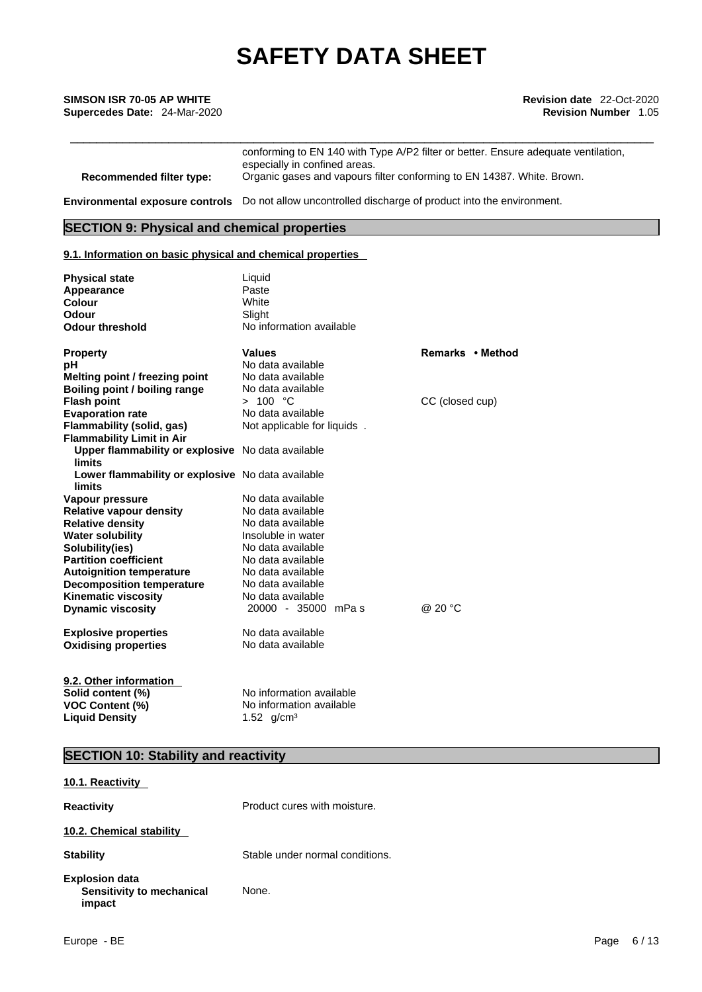\_\_\_\_\_\_\_\_\_\_\_\_\_\_\_\_\_\_\_\_\_\_\_\_\_\_\_\_\_\_\_\_\_\_\_\_\_\_\_\_\_\_\_\_\_\_\_\_\_\_\_\_\_\_\_\_\_\_\_\_\_\_\_\_\_\_\_\_\_\_\_\_\_\_\_\_\_\_\_\_\_\_\_\_\_\_\_\_\_ **SIMSON ISR 70-05 AP WHITE Revision date** 22-Oct-2020 **Supercedes Date:** 24-Mar-2020 **Revision Number** 1.05

conforming to EN 140 with Type A/P2 filter or better. Ensure adequate ventilation, especially in confined areas. **Recommended filter type:** Organic gases and vapours filter conforming to EN 14387. White. Brown.

**Environmental exposure controls** Do not allow uncontrolled discharge of product into the environment.

## **SECTION 9: Physical and chemical properties**

#### **9.1. Information on basic physical and chemical properties**

| <b>Physical state</b><br>Appearance<br><b>Colour</b><br>Odour<br><b>Odour threshold</b>        | Liquid<br>Paste<br>White<br>Slight<br>No information available        |                  |
|------------------------------------------------------------------------------------------------|-----------------------------------------------------------------------|------------------|
| <b>Property</b>                                                                                | <b>Values</b>                                                         | Remarks • Method |
| рH                                                                                             | No data available                                                     |                  |
| Melting point / freezing point                                                                 | No data available                                                     |                  |
| Boiling point / boiling range                                                                  | No data available                                                     |                  |
| <b>Flash point</b>                                                                             | > 100 °C                                                              | CC (closed cup)  |
| <b>Evaporation rate</b>                                                                        | No data available                                                     |                  |
| <b>Flammability (solid, gas)</b><br><b>Flammability Limit in Air</b>                           | Not applicable for liquids.                                           |                  |
| Upper flammability or explosive No data available<br><b>limits</b>                             |                                                                       |                  |
| Lower flammability or explosive No data available<br>limits                                    |                                                                       |                  |
| Vapour pressure                                                                                | No data available                                                     |                  |
| <b>Relative vapour density</b>                                                                 | No data available                                                     |                  |
| <b>Relative density</b>                                                                        | No data available                                                     |                  |
| <b>Water solubility</b>                                                                        | Insoluble in water                                                    |                  |
| Solubility(ies)                                                                                | No data available                                                     |                  |
| <b>Partition coefficient</b>                                                                   | No data available                                                     |                  |
| <b>Autoignition temperature</b>                                                                | No data available                                                     |                  |
| <b>Decomposition temperature</b>                                                               | No data available                                                     |                  |
| Kinematic viscosity                                                                            | No data available                                                     |                  |
| <b>Dynamic viscosity</b>                                                                       | 20000 - 35000 mPas                                                    | @ 20 °C          |
| <b>Explosive properties</b>                                                                    | No data available                                                     |                  |
| <b>Oxidising properties</b>                                                                    | No data available                                                     |                  |
| 9.2. Other information<br>Solid content (%)<br><b>VOC Content (%)</b><br><b>Liquid Density</b> | No information available<br>No information available<br>1.52 $g/cm^3$ |                  |

## **SECTION 10: Stability and reactivity**

| 10.1. Reactivity                                      |                                 |
|-------------------------------------------------------|---------------------------------|
| Reactivity                                            | Product cures with moisture.    |
| 10.2. Chemical stability                              |                                 |
| <b>Stability</b>                                      | Stable under normal conditions. |
| Explosion data<br>Sensitivity to mechanical<br>impact | None.                           |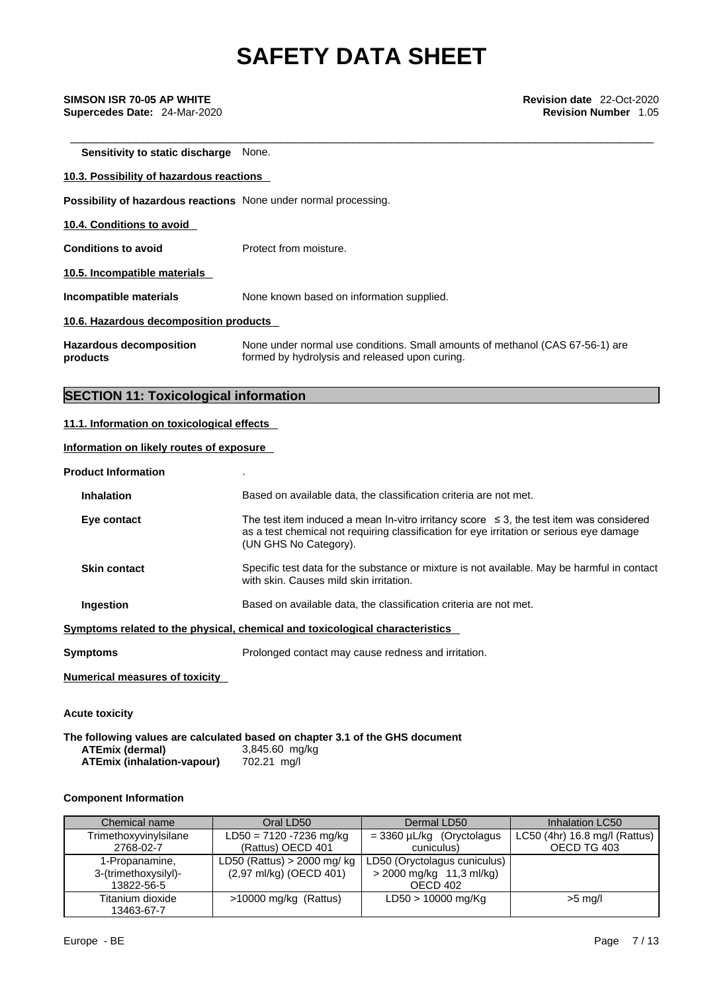\_\_\_\_\_\_\_\_\_\_\_\_\_\_\_\_\_\_\_\_\_\_\_\_\_\_\_\_\_\_\_\_\_\_\_\_\_\_\_\_\_\_\_\_\_\_\_\_\_\_\_\_\_\_\_\_\_\_\_\_\_\_\_\_\_\_\_\_\_\_\_\_\_\_\_\_\_\_\_\_\_\_\_\_\_\_\_\_\_ **SIMSON ISR 70-05 AP WHITE Revision date** 22-Oct-2020 **Supercedes Date:** 24-Mar-2020 **Revision Number** 1.05

**Sensitivity to static discharge** None.

# **10.3. Possibility of hazardous reactions Possibility of hazardous reactions** None under normal processing. **10.4. Conditions to avoid Conditions to avoid** Protect from moisture. **10.5. Incompatible materials Incompatible materials** None known based on information supplied. **10.6. Hazardous decomposition products Hazardous decomposition products**  None under normal use conditions. Small amounts of methanol (CAS 67-56-1) are formed by hydrolysis and released upon curing.

## **SECTION 11: Toxicological information**

#### **11.1. Information on toxicological effects**

#### **Information on likely routes of exposure**

#### **Product Information** .

| <b>Inhalation</b>                     | Based on available data, the classification criteria are not met.                                                                                                                                                 |
|---------------------------------------|-------------------------------------------------------------------------------------------------------------------------------------------------------------------------------------------------------------------|
| Eye contact                           | The test item induced a mean In-vitro irritancy score $\leq$ 3, the test item was considered<br>as a test chemical not requiring classification for eye irritation or serious eye damage<br>(UN GHS No Category). |
| <b>Skin contact</b>                   | Specific test data for the substance or mixture is not available. May be harmful in contact<br>with skin. Causes mild skin irritation.                                                                            |
| Ingestion                             | Based on available data, the classification criteria are not met.                                                                                                                                                 |
|                                       | Symptoms related to the physical, chemical and toxicological characteristics                                                                                                                                      |
| <b>Symptoms</b>                       | Prolonged contact may cause redness and irritation.                                                                                                                                                               |
| <b>Numerical measures of toxicity</b> |                                                                                                                                                                                                                   |
| <b>Acute toxicity</b>                 |                                                                                                                                                                                                                   |

**The following values are calculated based on chapter 3.1 of the GHS document ATEmix (dermal)**3,845.60 mg/kg **ATEmix (inhalation-vapour)** 

#### **Component Information**

| Chemical name                                        | Oral LD50                                               | Dermal LD50                                                            | Inhalation LC50                              |
|------------------------------------------------------|---------------------------------------------------------|------------------------------------------------------------------------|----------------------------------------------|
| Trimethoxyvinylsilane<br>2768-02-7                   | LD50 = 7120 -7236 mg/kg<br>(Rattus) OECD 401            | $=$ 3360 µL/kg (Oryctolagus<br>cuniculus)                              | LC50 (4hr) 16.8 mg/l (Rattus)<br>OECD TG 403 |
| 1-Propanamine,<br>3-(trimethoxysilyl)-<br>13822-56-5 | LD50 (Rattus) $> 2000$ mg/kg<br>(2,97 ml/kg) (OECD 401) | LD50 (Oryctolagus cuniculus)  <br>> 2000 mg/kg 11,3 ml/kg)<br>OECD 402 |                                              |
| Titanium dioxide<br>13463-67-7                       | $>10000$ mg/kg (Rattus)                                 | LD50 > 10000 mg/Kg                                                     | $>5$ mg/l                                    |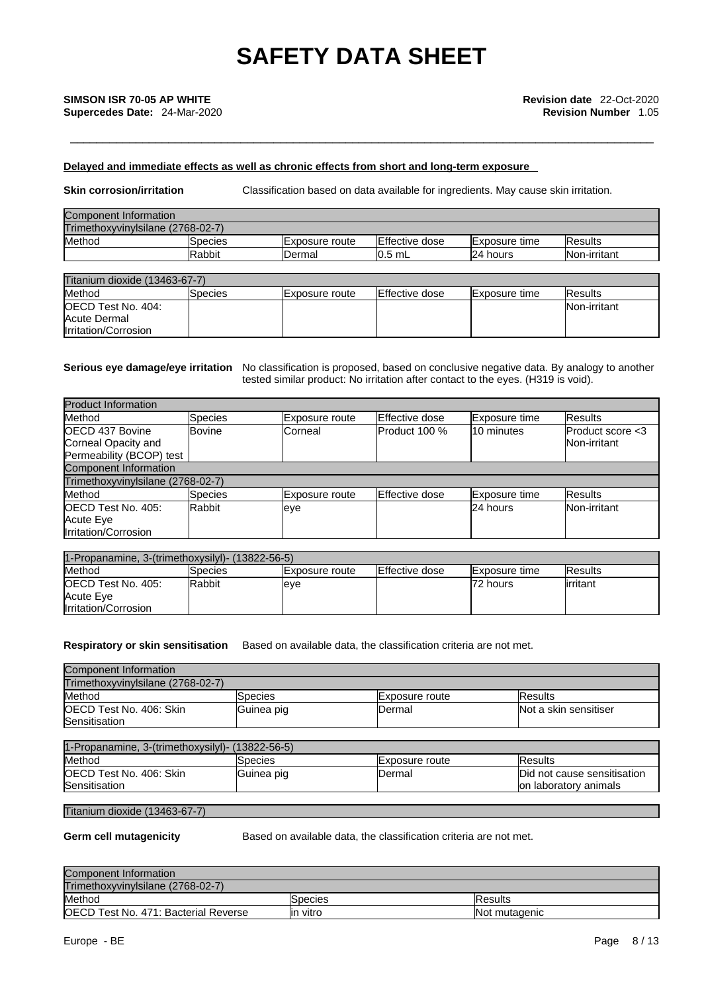### **Delayed and immediate effects as well as chronic effects from short and long-term exposure**

**Skin corrosion/irritation** Classification based on data available for ingredients. May cause skin irritation.

| Component Information             |               |                        |                |                       |                     |
|-----------------------------------|---------------|------------------------|----------------|-----------------------|---------------------|
| Trimethoxyvinylsilane (2768-02-7) |               |                        |                |                       |                     |
| Method                            | ISpecies      | <b>IExposure</b> route | Effective dose | <b>IExposure</b> time | <b>IResults</b>     |
|                                   | <b>Rabbit</b> | Dermal                 | $10.5$ mL      | 24 hours              | <b>Non-irritant</b> |

| Titanium dioxide (13463-67-7) |          |                        |                        |                      |                |
|-------------------------------|----------|------------------------|------------------------|----------------------|----------------|
| Method                        | lSpecies | <b>IExposure route</b> | <b>IEffective dose</b> | <b>Exposure time</b> | <b>Results</b> |
| <b>IOECD Test No. 404:</b>    |          |                        |                        |                      | Non-irritant   |
| Acute Dermal                  |          |                        |                        |                      |                |
| Irritation/Corrosion          |          |                        |                        |                      |                |

#### **Serious eye damage/eye irritation** No classification is proposed, based on conclusive negative data. By analogy to another tested similar product: No irritation after contact to the eyes. (H319 is void).

| <b>Product Information</b>        |                |                |                |               |                        |
|-----------------------------------|----------------|----------------|----------------|---------------|------------------------|
| Method                            | <b>Species</b> | Exposure route | Effective dose | Exposure time | <b>Results</b>         |
| OECD 437 Bovine                   | lBovine.       | lCorneal       | Product 100 %  | 10 minutes    | $P$ roduct score $<$ 3 |
| Corneal Opacity and               |                |                |                |               | Non-irritant           |
| Permeability (BCOP) test          |                |                |                |               |                        |
| <b>Component Information</b>      |                |                |                |               |                        |
| Trimethoxyvinylsilane (2768-02-7) |                |                |                |               |                        |
| Method                            | <b>Species</b> | Exposure route | Effective dose | Exposure time | <b>Results</b>         |
| OECD Test No. 405:                | Rabbit         | eye            |                | 24 hours      | Non-irritant           |
| Acute Eye                         |                |                |                |               |                        |
| Irritation/Corrosion              |                |                |                |               |                        |

| 1-Propanamine. 3-(trimethoxysilyl)- (13822-56-5)                |                |                        |                        |                       |                 |  |
|-----------------------------------------------------------------|----------------|------------------------|------------------------|-----------------------|-----------------|--|
| Method                                                          | <b>Species</b> | <b>IExposure</b> route | <b>IEffective dose</b> | <b>IExposure time</b> | <b>IResults</b> |  |
| <b>IOECD Test No. 405:</b><br>Acute Eve<br>Irritation/Corrosion | Rabbit         | leye                   |                        | 72 hours              | lirritant       |  |

**Respiratory or skin sensitisation** Based on available data, the classification criteria are not met.

| Component Information<br>Trimethoxyvinvlsilane (2768-02-7) |            |                        |                       |
|------------------------------------------------------------|------------|------------------------|-----------------------|
| Method                                                     | Species    | <b>IExposure route</b> | <b>IResults</b>       |
| OECD Test No. 406: Skin<br>Sensitisation                   | Guinea pig | IDermal                | Not a skin sensitiser |

| 1-Propanamine. 3-(trimethoxysilyl)- (13822-56-5) |            |                        |                                                       |  |
|--------------------------------------------------|------------|------------------------|-------------------------------------------------------|--|
| Method                                           | Species    | <b>IExposure</b> route | lResults                                              |  |
| <b>IOECD Test No. 406: Skin</b><br>Sensitisation | Guinea pig | IDermal                | Did not cause sensitisation<br>lon laboratory animals |  |

#### Titanium dioxide (13463-67-7)

**Germ cell mutagenicity** Based on available data, the classification criteria are not met.

| Component Information                |                 |                      |
|--------------------------------------|-----------------|----------------------|
| Trimethoxyvinylsilane (2768-02-7)    |                 |                      |
| Method                               | <b>ISpecies</b> | <b>Results</b>       |
| OECD Test No. 471: Bacterial Reverse | lin vitro       | <b>Not mutagenic</b> |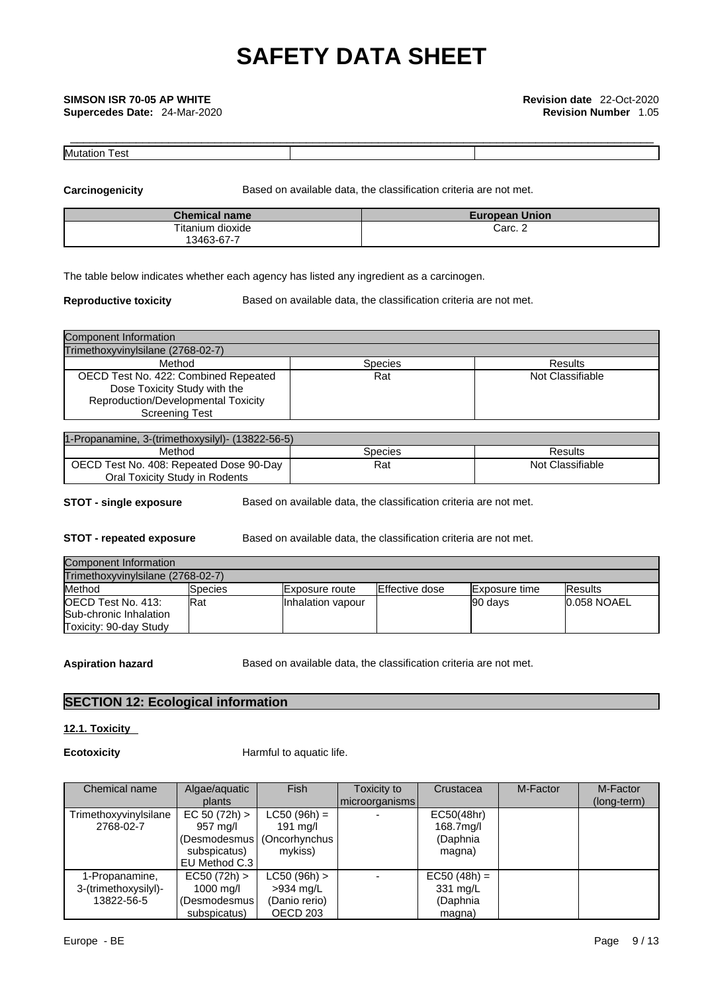| IM I<br>Ŵ<br>ادت |  |
|------------------|--|

**Carcinogenicity** Based on available data, the classification criteria are not met.

| <b>Chemical name</b> | <b>European Union</b> |
|----------------------|-----------------------|
| Titanium dioxide     | Carc. 2               |
| 13463-67-7           |                       |

The table below indicates whether each agency has listed any ingredient as a carcinogen.

**Reproductive toxicity** Based on available data, the classification criteria are not met.

| Component Information                                                |         |                  |
|----------------------------------------------------------------------|---------|------------------|
| Trimethoxyvinylsilane (2768-02-7)                                    |         |                  |
| Method                                                               | Species | Results          |
| OECD Test No. 422: Combined Repeated<br>Dose Toxicity Study with the | Rat     | Not Classifiable |
| Reproduction/Developmental Toxicity                                  |         |                  |
| <b>Screening Test</b>                                                |         |                  |

| 1-Propanamine, 3-(trimethoxysilyl)- (13822-56-5) |         |                  |
|--------------------------------------------------|---------|------------------|
| Method                                           | Species | Results          |
| OECD Test No. 408: Repeated Dose 90-Day          | Rat     | Not Classifiable |
| Oral Toxicity Study in Rodents                   |         |                  |

**STOT** - single exposure **Based on available data, the classification criteria are not met.** 

**STOT** - **repeated exposure** Based on available data, the classification criteria are not met.

| Component Information                                                          |             |                        |                |                       |                 |
|--------------------------------------------------------------------------------|-------------|------------------------|----------------|-----------------------|-----------------|
| Trimethoxyvinvlsilane (2768-02-7)                                              |             |                        |                |                       |                 |
| Method                                                                         | lSpecies    | <b>IExposure</b> route | Effective dose | <b>IExposure time</b> | <b>IResults</b> |
| <b>IOECD Test No. 413:</b><br>Sub-chronic Inhalation<br>Toxicity: 90-day Study | <b>IRat</b> | Inhalation vapour      |                | 90 days               | 10.058 NOAEL    |

Aspiration hazard **Based on available data, the classification criteria are not met.** 

## **SECTION 12: Ecological information**

### **12.1. Toxicity**

**Ecotoxicity Harmful to aquatic life.** 

| Chemical name         | Algae/aquatic | <b>Fish</b>                  | Toxicity to    | Crustacea      | M-Factor | M-Factor    |  |
|-----------------------|---------------|------------------------------|----------------|----------------|----------|-------------|--|
|                       | plants        |                              | microorganisms |                |          | (long-term) |  |
| Trimethoxyvinylsilane | EC 50 (72h)   | $LC50 (96h) =$               |                | EC50(48hr)     |          |             |  |
| 2768-02-7             | 957 mg/l      | $191 \text{ mg/l}$           |                | 168.7mg/l      |          |             |  |
|                       |               | (Desmodesmus   (Oncorhynchus |                | (Daphnia       |          |             |  |
|                       | subspicatus)  | mykiss)                      |                | magna)         |          |             |  |
|                       | EU Method C.3 |                              |                |                |          |             |  |
| 1-Propanamine,        | EC50 (72h) >  | $LC50 (96h)$ >               |                | $EC50 (48h) =$ |          |             |  |
| 3-(trimethoxysilyl)-  | 1000 mg/l     | >934 mg/L                    |                | 331 mg/L       |          |             |  |
| 13822-56-5            | (Desmodesmus) | (Danio rerio)                |                | (Daphnia       |          |             |  |
|                       | subspicatus)  | OECD 203                     |                | magna)         |          |             |  |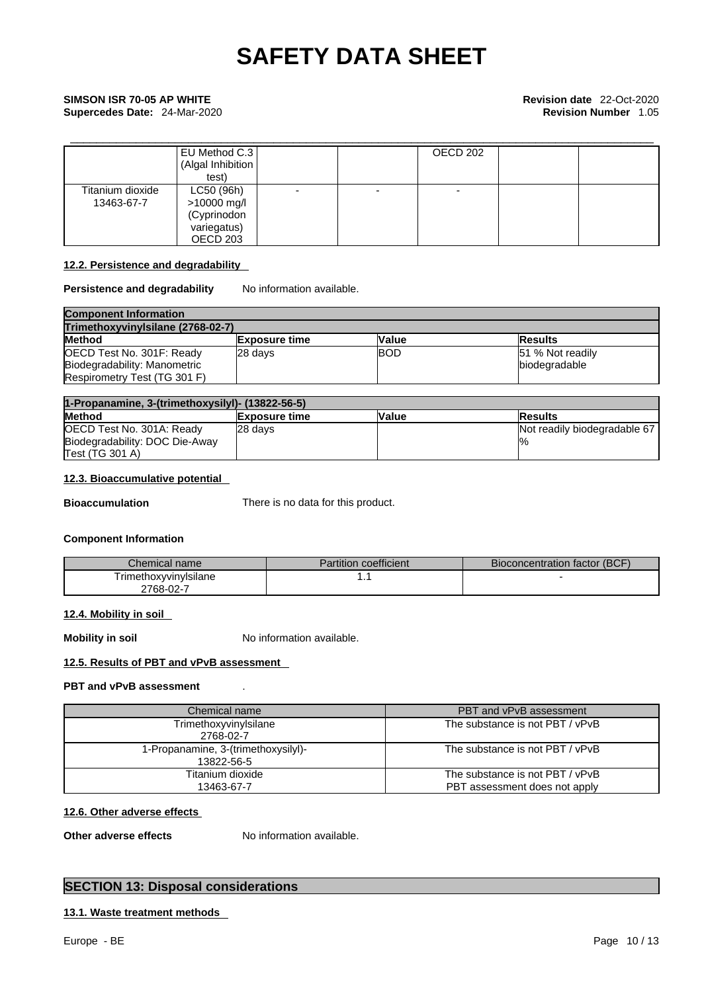**Supercedes Date:** 24-Mar-2020 **Revision Number** 1.05

|                                | EU Method C.3<br>(Algal Inhibition<br>test)                         |  | OECD 202 |  |
|--------------------------------|---------------------------------------------------------------------|--|----------|--|
| Titanium dioxide<br>13463-67-7 | LC50 (96h)<br>>10000 mg/l<br>(Cyprinodon<br>variegatus)<br>OECD 203 |  |          |  |

### **12.2. Persistence and degradability**

#### **Persistence and degradability** No information available.

| <b>Component Information</b>      |                      |              |                  |  |  |
|-----------------------------------|----------------------|--------------|------------------|--|--|
| Trimethoxyvinylsilane (2768-02-7) |                      |              |                  |  |  |
| <b>Method</b>                     | <b>Exposure time</b> | <b>Value</b> | <b>IResults</b>  |  |  |
| OECD Test No. 301F: Ready         | 28 davs              | <b>BOD</b>   | 51 % Not readily |  |  |
| Biodegradability: Manometric      |                      |              | biodegradable    |  |  |
| Respirometry Test (TG 301 F)      |                      |              |                  |  |  |

| 1-Propanamine, 3-(trimethoxysilyl)- (13822-56-5) |                      |              |                              |
|--------------------------------------------------|----------------------|--------------|------------------------------|
| <b>Method</b>                                    | <b>Exposure time</b> | <b>Value</b> | <b>Results</b>               |
| OECD Test No. 301A: Ready                        | 28 davs              |              | Not readily biodegradable 67 |
| Biodegradability: DOC Die-Away                   |                      |              | $\frac{10}{6}$               |
| <b>Test (TG 301 A)</b>                           |                      |              |                              |

### **12.3. Bioaccumulative potential**

**Bioaccumulation** There is no data for this product.

### **Component Information**

| Chemical name          | Partition coefficient | Bioconcentration factor (BCF) |
|------------------------|-----------------------|-------------------------------|
| I rimethoxyvinyIsilane | . .                   |                               |
| ∠768-02-7              |                       |                               |

### **12.4. Mobility in soil**

**Mobility in soil** No information available.

### **12.5. Results of PBT and vPvB assessment**

### **PBT and vPvB assessment** .

| Chemical name                                     | PBT and vPvB assessment                                          |
|---------------------------------------------------|------------------------------------------------------------------|
| Trimethoxyvinylsilane<br>2768-02-7                | The substance is not PBT / vPvB                                  |
| 1-Propanamine, 3-(trimethoxysilyl)-<br>13822-56-5 | The substance is not PBT / vPvB                                  |
| Titanium dioxide<br>13463-67-7                    | The substance is not PBT / vPvB<br>PBT assessment does not apply |

#### **12.6. Other adverse effects**

**Other adverse effects** No information available.

# **SECTION 13: Disposal considerations**

## **13.1. Waste treatment methods**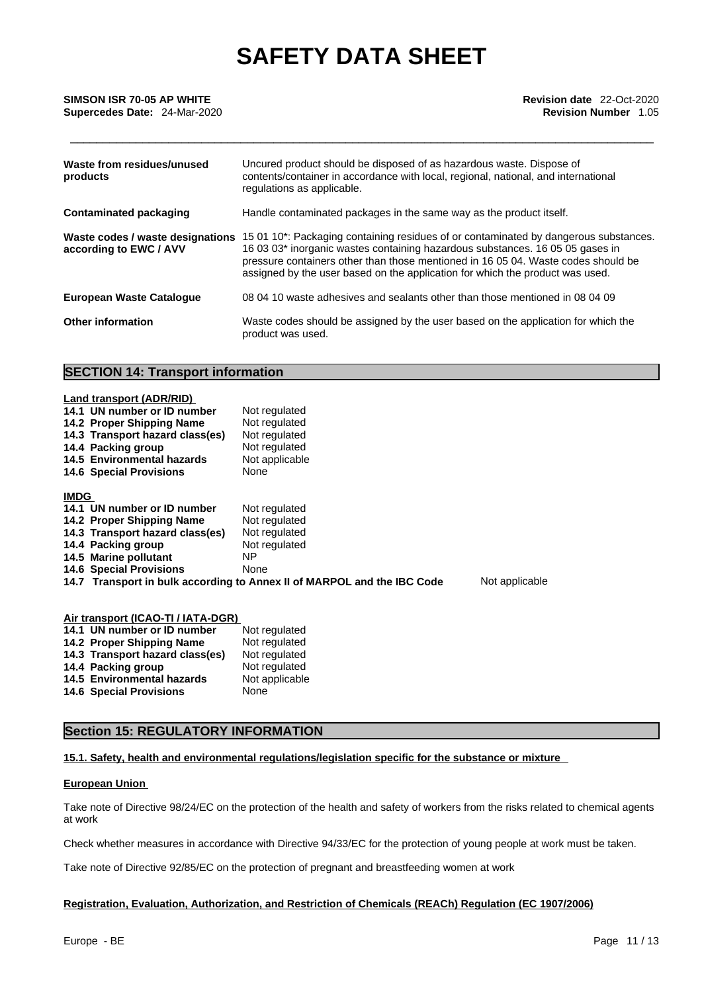**Supercedes Date:** 24-Mar-2020 **Revision Number** 1.05

| Waste from residues/unused<br>products                     | Uncured product should be disposed of as hazardous waste. Dispose of<br>contents/container in accordance with local, regional, national, and international<br>regulations as applicable.                                                                                                                                                    |
|------------------------------------------------------------|---------------------------------------------------------------------------------------------------------------------------------------------------------------------------------------------------------------------------------------------------------------------------------------------------------------------------------------------|
| <b>Contaminated packaging</b>                              | Handle contaminated packages in the same way as the product itself.                                                                                                                                                                                                                                                                         |
| Waste codes / waste designations<br>according to EWC / AVV | 15 01 10*: Packaging containing residues of or contaminated by dangerous substances.<br>16 03 03* inorganic wastes containing hazardous substances. 16 05 05 gases in<br>pressure containers other than those mentioned in 16 05 04. Waste codes should be<br>assigned by the user based on the application for which the product was used. |
| <b>European Waste Catalogue</b>                            | 08 04 10 waste adhesives and sealants other than those mentioned in 08 04 09                                                                                                                                                                                                                                                                |
| <b>Other information</b>                                   | Waste codes should be assigned by the user based on the application for which the<br>product was used.                                                                                                                                                                                                                                      |

# **SECTION 14: Transport information**

|             | Land transport (ADR/RID)        |                                                                         |                |
|-------------|---------------------------------|-------------------------------------------------------------------------|----------------|
|             | 14.1 UN number or ID number     | Not regulated                                                           |                |
|             | 14.2 Proper Shipping Name       | Not regulated                                                           |                |
|             | 14.3 Transport hazard class(es) | Not regulated                                                           |                |
|             | 14.4 Packing group              | Not regulated                                                           |                |
|             | 14.5 Environmental hazards      | Not applicable                                                          |                |
|             | <b>14.6 Special Provisions</b>  | None                                                                    |                |
| <b>IMDG</b> |                                 |                                                                         |                |
|             | 14.1 UN number or ID number     | Not regulated                                                           |                |
|             | 14.2 Proper Shipping Name       | Not regulated                                                           |                |
|             | 14.3 Transport hazard class(es) | Not regulated                                                           |                |
|             | 14.4 Packing group              | Not regulated                                                           |                |
|             | 14.5 Marine pollutant           | ΝP                                                                      |                |
|             | <b>14.6 Special Provisions</b>  | None                                                                    |                |
|             |                                 | 14.7 Transport in bulk according to Annex II of MARPOL and the IBC Code | Not applicable |
|             |                                 |                                                                         |                |

| Air transport (ICAO-TI / IATA-DGR) |                                   |                |  |
|------------------------------------|-----------------------------------|----------------|--|
|                                    | 14.1 UN number or ID number       | Not regulated  |  |
|                                    | 14.2 Proper Shipping Name         | Not regulated  |  |
|                                    | 14.3 Transport hazard class(es)   | Not regulated  |  |
|                                    | 14.4 Packing group                | Not regulated  |  |
|                                    | <b>14.5 Environmental hazards</b> | Not applicable |  |
|                                    | <b>14.6 Special Provisions</b>    | None           |  |

## **Section 15: REGULATORY INFORMATION**

#### **15.1. Safety, health and environmental regulations/legislation specific for the substance or mixture**

#### **European Union**

Take note of Directive 98/24/EC on the protection of the health and safety of workers from the risks related to chemical agents at work

Check whether measures in accordance with Directive 94/33/EC for the protection of young people at work must be taken.

Take note of Directive 92/85/EC on the protection of pregnant and breastfeeding women at work

#### **Registration, Evaluation, Authorization, and Restriction of Chemicals (REACh) Regulation (EC 1907/2006)**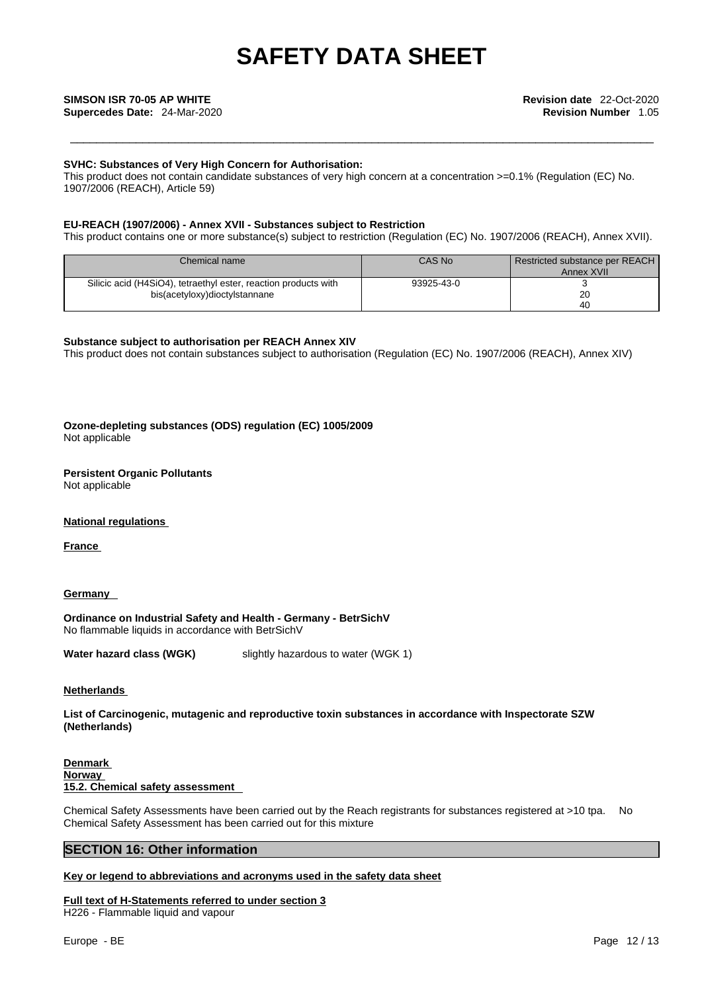**Supercedes Date:** 24-Mar-2020 **Revision Number** 1.05

#### **SVHC: Substances of Very High Concern for Authorisation:**

This product does not contain candidate substances of very high concern at a concentration >=0.1% (Regulation (EC) No. 1907/2006 (REACH), Article 59)

#### **EU-REACH (1907/2006) - Annex XVII - Substances subject to Restriction**

This product contains one or more substance(s) subject to restriction (Regulation (EC) No. 1907/2006 (REACH), Annex XVII).

| Chemical name                                                   | CAS No     | Restricted substance per REACH<br>Annex XVII |
|-----------------------------------------------------------------|------------|----------------------------------------------|
| Silicic acid (H4SiO4), tetraethyl ester, reaction products with | 93925-43-0 |                                              |
| bis(acetyloxy)dioctylstannane                                   |            | 20                                           |
|                                                                 |            | 40                                           |

#### **Substance subject to authorisation per REACH Annex XIV**

This product does not contain substances subject to authorisation (Regulation (EC) No. 1907/2006 (REACH), Annex XIV)

**Ozone-depleting substances (ODS) regulation (EC) 1005/2009** Not applicable

#### **Persistent Organic Pollutants**

Not applicable

#### **National regulations**

**France** 

#### **Germany**

**Ordinance on Industrial Safety and Health - Germany - BetrSichV** No flammable liquids in accordance with BetrSichV

**Water hazard class (WGK)** slightly hazardous to water (WGK 1)

#### **Netherlands**

**List of Carcinogenic, mutagenic and reproductive toxin substances in accordance with Inspectorate SZW (Netherlands)**

**Denmark Norway 15.2. Chemical safety assessment**

Chemical Safety Assessments have been carried out by the Reach registrants for substances registered at >10 tpa. No Chemical Safety Assessment has been carried out for this mixture

### **SECTION 16: Other information**

#### **Key or legend to abbreviations and acronyms used in the safety data sheet**

**Full text of H-Statements referred to under section 3** H226 - Flammable liquid and vapour